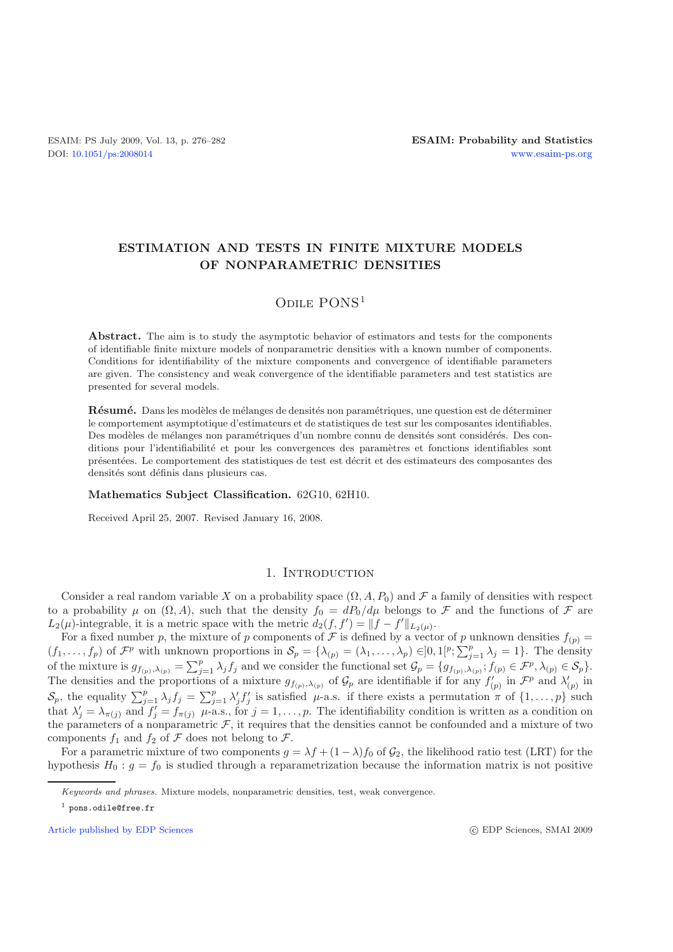# **ESTIMATION AND TESTS IN FINITE MIXTURE MODELS OF NONPARAMETRIC DENSITIES**

## ODILE PONS<sup>1</sup>

Abstract. The aim is to study the asymptotic behavior of estimators and tests for the components of identifiable finite mixture models of nonparametric densities with a known number of components. Conditions for identifiability of the mixture components and convergence of identifiable parameters are given. The consistency and weak convergence of the identifiable parameters and test statistics are presented for several models.

**R**ésumé. Dans les modèles de mélanges de densités non paramétriques, une question est de déterminer le comportement asymptotique d'estimateurs et de statistiques de test sur les composantes identifiables. Des modèles de mélanges non paramétriques d'un nombre connu de densités sont considérés. Des conditions pour l'identifiabilité et pour les convergences des paramètres et fonctions identifiables sont pr´esent´ees. Le comportement des statistiques de test est d´ecrit et des estimateurs des composantes des densités sont définis dans plusieurs cas.

#### **Mathematics Subject Classification.** 62G10, 62H10.

Received April 25, 2007. Revised January 16, 2008.

## 1. INTRODUCTION

Consider a real random variable X on a probability space  $(\Omega, A, P_0)$  and F a family of densities with respect to a probability  $\mu$  on  $(\Omega, A)$ , such that the density  $f_0 = dP_0/d\mu$  belongs to  $\mathcal F$  and the functions of  $\mathcal F$  are  $L_2(\mu)$ -integrable, it is a metric space with the metric  $d_2(f, f') = ||f - f'||_{L_2(\mu)}$ .

For a fixed number p, the mixture of p components of F is defined by a vector of p unknown densities  $f_{(p)} =$  $(f_1,\ldots,f_p)$  of  $\mathcal{F}^p$  with unknown proportions in  $\mathcal{S}_p = {\lambda_{(p)} = (\lambda_1,\ldots,\lambda_p) \in ]0,1[^p;\sum_{j=1}^p\lambda_j=1]}$ . The density of the mixture is  $g_{f(p),\lambda_{(p)}} = \sum_{j=1}^p \lambda_j f_j$  and we consider the functional set  $\mathcal{G}_p = \{g_{f(p),\lambda_{(p)}}; f_{(p)} \in \mathcal{F}^p, \lambda_{(p)} \in \mathcal{S}_p\}.$ The densities and the proportions of a mixture  $g_{f(p),\lambda_{(p)}}$  of  $\mathcal{G}_p$  are identifiable if for any  $f'_{(p)}$  in  $\mathcal{F}^p$  and  $\lambda'_{(p)}$  in  $S_p$ , the equality  $\sum_{j=1}^p \lambda_j f_j = \sum_{j=1}^p \lambda'_j f'_j$  is satisfied  $\mu$ -a.s. if there exists a permutation  $\pi$  of  $\{1,\ldots,p\}$  such that  $\lambda'_j = \lambda_{\pi(j)}$  and  $f'_j = f_{\pi(j)}$   $\mu$ -a.s., for  $j = 1, \ldots, p$ . The identifiability condition is written as a condition on the parameters of a nonparametric  $\mathcal{F}$ , it requires that the densities cannot be confounded and a mixture of two components  $f_1$  and  $f_2$  of  $\mathcal F$  does not belong to  $\mathcal F$ .

For a parametric mixture of two components  $g = \lambda f + (1 - \lambda)f_0$  of  $\mathcal{G}_2$ , the likelihood ratio test (LRT) for the hypothesis  $H_0: g = f_0$  is studied through a reparametrization because the information matrix is not positive

*Keywords and phrases.* Mixture models, nonparametric densities, test, weak convergence.

 $1$  pons.odile@free.fr

[Article published by EDP Sciences](http://www.edpsciences.org)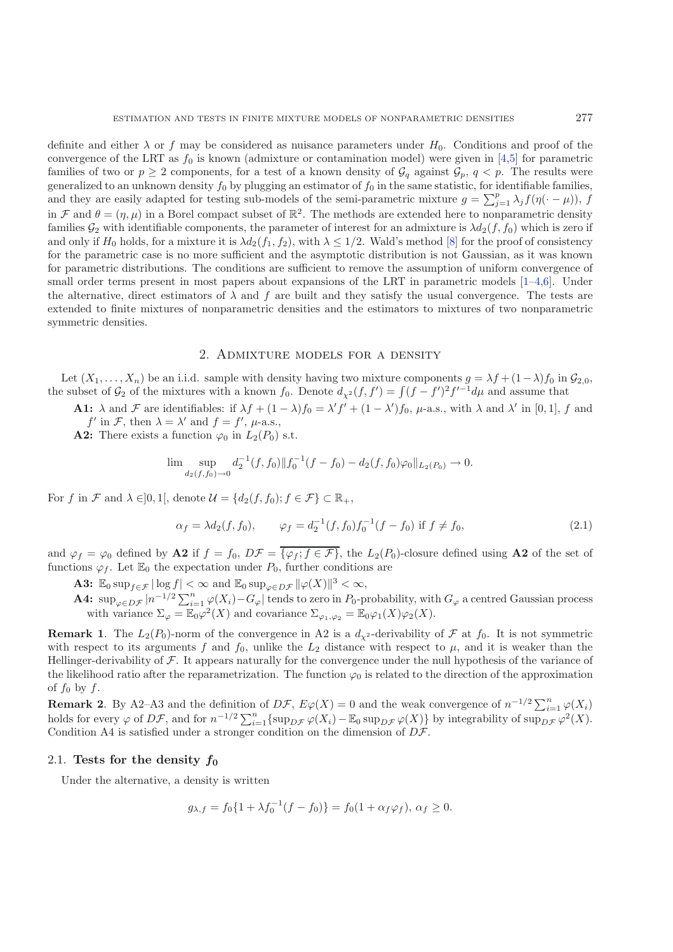definite and either  $\lambda$  or f may be considered as nuisance parameters under  $H_0$ . Conditions and proof of the convergence of the LRT as  $f_0$  is known (admixture or contamination model) were given in [\[4](#page-6-0)[,5\]](#page-6-1) for parametric families of two or  $p \geq 2$  components, for a test of a known density of  $\mathcal{G}_q$  against  $\mathcal{G}_p$ ,  $q < p$ . The results were generalized to an unknown density  $f_0$  by plugging an estimator of  $f_0$  in the same statistic, for identifiable families, and they are easily adapted for testing sub-models of the semi-parametric mixture  $g = \sum_{j=1}^{p} \lambda_j f(\eta(\cdot - \mu))$ , f in F and  $\theta = (\eta, \mu)$  in a Borel compact subset of  $\mathbb{R}^2$ . The methods are extended here to nonparametric density families  $\mathcal{G}_2$  with identifiable components, the parameter of interest for an admixture is  $\lambda d_2(f, f_0)$  which is zero if and only if  $H_0$  holds, for a mixture it is  $\lambda d_2(f_1, f_2)$ , with  $\lambda \leq 1/2$ . Wald's method [\[8](#page-6-2)] for the proof of consistency for the parametric case is no more sufficient and the asymptotic distribution is not Gaussian, as it was known for parametric distributions. The conditions are sufficient to remove the assumption of uniform convergence of small order terms present in most papers about expansions of the LRT in parametric models [\[1](#page-6-3)[–4](#page-6-0)[,6](#page-6-4)]. Under the alternative, direct estimators of  $\lambda$  and f are built and they satisfy the usual convergence. The tests are extended to finite mixtures of nonparametric densities and the estimators to mixtures of two nonparametric symmetric densities.

### 2. Admixture models for a density

Let  $(X_1,\ldots,X_n)$  be an i.i.d. sample with density having two mixture components  $q = \lambda f + (1-\lambda)f_0$  in  $\mathcal{G}_{2,0}$ , the subset of  $\mathcal{G}_2$  of the mixtures with a known  $f_0$ . Denote  $d_{\chi^2}(f, f') = \int (f - f')^2 f'^{-1} d\mu$  and assume that

**A1:**  $\lambda$  and  $\mathcal F$  are identifiables: if  $\lambda f + (1 - \lambda)f_0 = \lambda' f' + (1 - \lambda')f_0$ ,  $\mu$ -a.s., with  $\lambda$  and  $\lambda'$  in [0, 1], f and  $f'$  in F, then  $\lambda = \lambda'$  and  $f = f'$ ,  $\mu$ -a.s.,

**A2:** There exists a function  $\varphi_0$  in  $L_2(P_0)$  s.t.

$$
\lim_{d_2(f,f_0)\to 0} d_2^{-1}(f,f_0) \|f_0^{-1}(f-f_0) - d_2(f,f_0)\varphi_0\|_{L_2(P_0)} \to 0.
$$

For f in F and  $\lambda \in ]0,1[$ , denote  $\mathcal{U} = \{d_2(f, f_0); f \in \mathcal{F}\}\subset \mathbb{R}_+$ ,

$$
\alpha_f = \lambda d_2(f, f_0), \qquad \varphi_f = d_2^{-1}(f, f_0) f_0^{-1}(f - f_0) \text{ if } f \neq f_0,
$$
\n(2.1)

and  $\varphi_f = \varphi_0$  defined by **A2** if  $f = f_0$ ,  $D\mathcal{F} = \overline{\{\varphi_f; f \in \mathcal{F}\}}$ , the  $L_2(P_0)$ -closure defined using **A2** of the set of functions  $\varphi_f$ . Let  $\mathbb{E}_0$  the expectation under  $P_0$ , further conditions are

**A3:**  $\mathbb{E}_0 \sup_{f \in \mathcal{F}} |\log f| < \infty$  and  $\mathbb{E}_0 \sup_{\varphi \in D\mathcal{F}} ||\varphi(X)||^3 < \infty$ ,

**A4:**  $\sup_{\varphi \in D\mathcal{F}} |n^{-1/2} \sum_{i=1}^n \varphi(X_i) - G_{\varphi}|$  tends to zero in P<sub>0</sub>-probability, with  $G_{\varphi}$  a centred Gaussian process with variance  $\Sigma_{\varphi} = \mathbb{E}_0 \varphi^2(X)$  and covariance  $\Sigma_{\varphi_1, \varphi_2} = \mathbb{E}_0 \varphi_1(X) \varphi_2(X)$ .

**Remark 1**. The  $L_2(P_0)$ -norm of the convergence in A2 is a  $d_{\chi^2}$ -derivability of  $\mathcal F$  at  $f_0$ . It is not symmetric with respect to its arguments f and  $f_0$ , unlike the  $L_2$  distance with respect to  $\mu$ , and it is weaker than the Hellinger-derivability of  $\mathcal F$ . It appears naturally for the convergence under the null hypothesis of the variance of the likelihood ratio after the reparametrization. The function  $\varphi_0$  is related to the direction of the approximation of  $f_0$  by  $f$ .

**Remark 2.** By A2–A3 and the definition of  $D\mathcal{F}$ ,  $E\varphi(X) = 0$  and the weak convergence of  $n^{-1/2} \sum_{i=1}^{n} \varphi(X_i)$ holds for every  $\varphi$  of  $D\mathcal{F}$ , and for  $n^{-1/2} \sum_{i=1}^{n} \{ \sup_{D\mathcal{F}} \varphi(X_i) - \mathbb{E}_0 \sup_{D\mathcal{F}} \varphi(X) \}$  by integrability of  $\sup_{D\mathcal{F}} \varphi^2(X)$ . Condition A4 is satisfied under a stronger condition on the dimension of  $D\mathcal{F}$ .

### 2.1. Tests for the density  $f_0$

Under the alternative, a density is written

$$
g_{\lambda,f} = f_0\{1 + \lambda f_0^{-1}(f - f_0)\} = f_0(1 + \alpha_f \varphi_f), \ \alpha_f \ge 0.
$$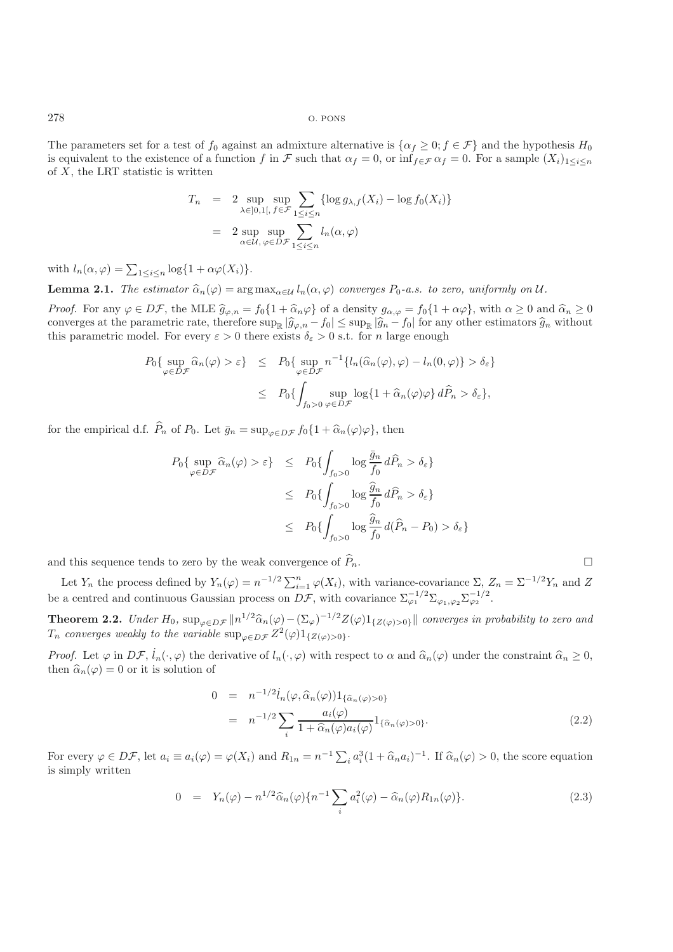278 O. PONS

The parameters set for a test of  $f_0$  against an admixture alternative is  $\{\alpha_f \geq 0; f \in \mathcal{F}\}\$  and the hypothesis  $H_0$ is equivalent to the existence of a function f in F such that  $\alpha_f = 0$ , or inf $f \in \mathcal{F}$   $\alpha_f = 0$ . For a sample  $(X_i)_{1 \leq i \leq n}$ of  $X$ , the LRT statistic is written

$$
T_n = 2 \sup_{\lambda \in ]0,1[, \, f \in \mathcal{F}} \sum_{1 \le i \le n} {\log g_{\lambda,f}(X_i) - \log f_0(X_i) }
$$
  
= 2 \sup\_{\alpha \in \mathcal{U}, \, \varphi \in D\mathcal{F}} \sum\_{1 \le i \le n} l\_n(\alpha, \varphi)

with  $l_n(\alpha, \varphi) = \sum_{1 \leq i \leq n} \log\{1 + \alpha \varphi(X_i)\}.$ 

**Lemma 2.1.** *The estimator*  $\hat{\alpha}_n(\varphi) = \arg \max_{\alpha \in \mathcal{U}} l_n(\alpha, \varphi)$  *converges*  $P_0$ -*a.s. to zero, uniformly on*  $\mathcal{U}$ *.* 

*Proof.* For any  $\varphi \in D\mathcal{F}$ , the MLE  $\widehat{g}_{\varphi,n} = f_0\{1 + \widehat{\alpha}_n\varphi\}$  of a density  $g_{\alpha,\varphi} = f_0\{1 + \alpha\varphi\}$ , with  $\alpha \geq 0$  and  $\widehat{\alpha}_n \geq 0$ converges at the parametric rate, therefore  $\sup_{\mathbb{R}} |\widehat{g}_{\varphi,n} - f_0| \leq \sup_{\mathbb{R}} |\widehat{g}_n - f_0|$  for any other estimators  $\widehat{g}_n$  without this parametric model. For every  $\varepsilon > 0$  there exists  $\delta_{\varepsilon} > 0$  s.t. for n la

$$
P_0\{\sup_{\varphi \in D\mathcal{F}} \hat{\alpha}_n(\varphi) > \varepsilon\} \leq P_0\{\sup_{\varphi \in D\mathcal{F}} n^{-1}\{l_n(\hat{\alpha}_n(\varphi), \varphi) - l_n(0, \varphi)\} > \delta_{\varepsilon}\}\
$$
  

$$
\leq P_0\{\int_{f_0 > 0} \sup_{\varphi \in D\mathcal{F}} \log\{1 + \hat{\alpha}_n(\varphi)\varphi\} d\hat{P}_n > \delta_{\varepsilon}\},
$$

for the empirical d.f.  $\hat{P}_n$  of  $P_0$ . Let  $\bar{g}_n = \sup_{\omega \in D\mathcal{F}} f_0 \{1 + \hat{\alpha}_n(\varphi)\varphi\}$ , then

$$
P_0\{\sup_{\varphi \in D\mathcal{F}} \hat{\alpha}_n(\varphi) > \varepsilon\} \leq P_0\{\int_{f_0 > 0} \log \frac{\bar{g}_n}{f_0} d\hat{P}_n > \delta_{\varepsilon}\}\n\leq P_0\{\int_{f_0 > 0} \log \frac{\hat{g}_n}{f_0} d\hat{P}_n > \delta_{\varepsilon}\}\n\leq P_0\{\int_{f_0 > 0} \log \frac{\hat{g}_n}{f_0} d(\hat{P}_n - P_0) > \delta_{\varepsilon}\}
$$

and this sequence tends to zero by the weak convergence of  $\widehat{P}_n$ .

Let  $Y_n$  the process defined by  $Y_n(\varphi) = n^{-1/2} \sum_{i=1}^n \varphi(X_i)$ , with variance-covariance  $\Sigma$ ,  $Z_n = \Sigma^{-1/2} Y_n$  and Z be a centred and continuous Gaussian process on  $\overline{D\mathcal{F}}$ , with covariance  $\sum_{\varphi_1}^{-1/2} \sum_{\varphi_1, \varphi_2} \sum_{\varphi_2}^{-1/2}$ .

**Theorem 2.2.** *Under*  $H_0$ ,  $\sup_{\varphi \in D\mathcal{F}} ||n^{1/2}\hat{\alpha}_n(\varphi) - (\Sigma_{\varphi})^{-1/2}Z(\varphi)1_{\{Z(\varphi) > 0\}}||$  *converges in probability to zero and*  $T_n$  *converges weakly to the variable*  $\sup_{\varphi \in D\mathcal{F}} Z^2(\varphi)1_{\{Z(\varphi) > 0\}}.$ 

*Proof.* Let  $\varphi$  in  $D\mathcal{F}$ ,  $\dot{l}_n(\cdot,\varphi)$  the derivative of  $l_n(\cdot,\varphi)$  with respect to  $\alpha$  and  $\hat{\alpha}_n(\varphi)$  under the constraint  $\hat{\alpha}_n \geq 0$ , then  $\widehat{\alpha}_n(\varphi) = 0$  or it is solution of

$$
0 = n^{-1/2} \dot{l}_n(\varphi, \widehat{\alpha}_n(\varphi)) 1_{\{\widehat{\alpha}_n(\varphi) > 0\}} = n^{-1/2} \sum_i \frac{a_i(\varphi)}{1 + \widehat{\alpha}_n(\varphi) a_i(\varphi)} 1_{\{\widehat{\alpha}_n(\varphi) > 0\}}.
$$
\n(2.2)

 $\Box$ 

<span id="page-2-0"></span>For every  $\varphi \in D\mathcal{F}$ , let  $a_i \equiv a_i(\varphi) = \varphi(X_i)$  and  $R_{1n} = n^{-1} \sum_i a_i^3 (1 + \widehat{\alpha}_n a_i)^{-1}$ . If  $\widehat{\alpha}_n(\varphi) > 0$ , the score equation is simply written

$$
0 = Y_n(\varphi) - n^{1/2} \widehat{\alpha}_n(\varphi) \{ n^{-1} \sum_i a_i^2(\varphi) - \widehat{\alpha}_n(\varphi) R_{1n}(\varphi) \}. \tag{2.3}
$$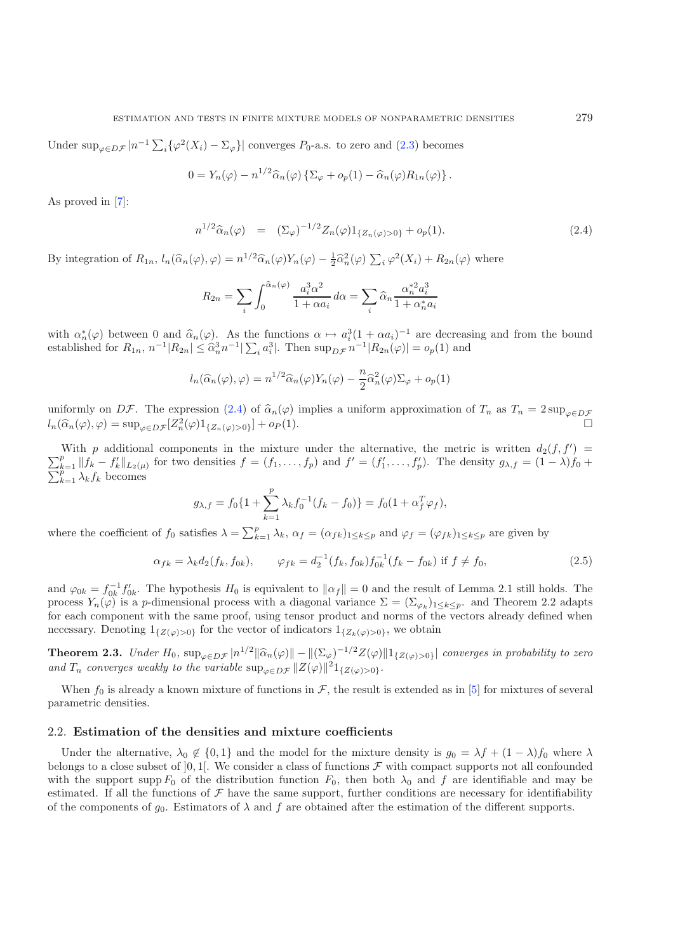Under  $\sup_{\varphi \in D\mathcal{F}} |n^{-1} \sum_i {\{\varphi^2(X_i) - \Sigma_{\varphi}\}}|$  converges  $P_0$ -a.s. to zero and  $(2.3)$  becomes

$$
0 = Y_n(\varphi) - n^{1/2} \widehat{\alpha}_n(\varphi) \left\{ \Sigma_{\varphi} + o_p(1) - \widehat{\alpha}_n(\varphi) R_{1n}(\varphi) \right\}.
$$

As proved in [\[7\]](#page-6-5):

$$
n^{1/2}\widehat{\alpha}_n(\varphi) = (\Sigma_{\varphi})^{-1/2} Z_n(\varphi) 1_{\{Z_n(\varphi) > 0\}} + o_p(1). \tag{2.4}
$$

<span id="page-3-0"></span>By integration of  $R_{1n}$ ,  $l_n(\widehat{\alpha}_n(\varphi), \varphi) = n^{1/2}\widehat{\alpha}_n(\varphi)Y_n(\varphi) - \frac{1}{2}\widehat{\alpha}_n^2(\varphi) \sum_i \varphi^2(X_i) + R_{2n}(\varphi)$  where

$$
R_{2n} = \sum_{i} \int_0^{\widehat{\alpha}_n(\varphi)} \frac{a_i^3 \alpha^2}{1 + \alpha a_i} d\alpha = \sum_{i} \widehat{\alpha}_n \frac{\alpha_n^{*2} a_i^3}{1 + \alpha_n^{*} a_i}
$$

with  $\alpha_n^*(\varphi)$  between 0 and  $\widehat{\alpha}_n(\varphi)$ . As the functions  $\alpha \mapsto a_i^3(1 + \alpha a_i)^{-1}$  are decreasing and from the bound established for  $R_{1n}$ ,  $n^{-1}|R_{2n}| \leq \hat{\alpha}_n^3 n^{-1} |\sum_i a_i^3|$ . Then  $\sup_{D\mathcal{F}} n^{-1}|R_{2n}(\varphi)| = o_p(1)$  and

$$
l_n(\widehat{\alpha}_n(\varphi), \varphi) = n^{1/2} \widehat{\alpha}_n(\varphi) Y_n(\varphi) - \frac{n}{2} \widehat{\alpha}_n^2(\varphi) \Sigma_\varphi + o_p(1)
$$

uniformly on DF. The expression [\(2.4\)](#page-3-0) of  $\hat{\alpha}_n(\varphi)$  implies a uniform approximation of  $T_n$  as  $T_n = 2 \sup_{\varphi \in D\mathcal{F}}$  $l_n(\widehat{\alpha}_n(\varphi), \varphi) = \sup_{\varphi \in D\mathcal{F}} [Z_n^2(\varphi)1_{\{Z_n(\varphi) > 0\}}] + o_P(1).$ 

With p additional components in the mixture under the alternative, the metric is written  $d_2(f, f') =$  $\sum_{k=1}^p ||f_k - f'_k||_{L_2(\mu)}$  for two densities  $f = (f_1, \ldots, f_p)$  and  $f' = (f'_1, \ldots, f'_p)$ . The density  $g_{\lambda,f} = (1 - \lambda)f_0 +$  $\sum_{k=1}^{k=1} \lambda_k f_k$  becomes

$$
g_{\lambda,f} = f_0 \{ 1 + \sum_{k=1}^p \lambda_k f_0^{-1} (f_k - f_0) \} = f_0 (1 + \alpha_f^T \varphi_f),
$$

where the coefficient of  $f_0$  satisfies  $\lambda = \sum_{k=1}^p \lambda_k$ ,  $\alpha_f = (\alpha_{fk})_{1 \le k \le p}$  and  $\varphi_f = (\varphi_{fk})_{1 \le k \le p}$  are given by

$$
\alpha_{fk} = \lambda_k d_2(f_k, f_{0k}), \qquad \varphi_{fk} = d_2^{-1}(f_k, f_{0k}) f_{0k}^{-1}(f_k - f_{0k}) \text{ if } f \neq f_0,
$$
\n(2.5)

and  $\varphi_{0k} = f_{0k}^{-1} f'_{0k}$ . The hypothesis  $H_0$  is equivalent to  $\|\alpha_f\| = 0$  and the result of Lemma 2.1 still holds. The process  $Y_n(\varphi)$  is a p-dimensional process with a diagonal variance  $\Sigma = (\Sigma_{\varphi_k})_{1 \leq k \leq p}$ . and Theorem 2.2 adapts for each component with the same proof, using tensor product and norms of the vectors already defined when necessary. Denoting  $1_{\{Z(\varphi)>0\}}$  for the vector of indicators  $1_{\{Z_k(\varphi)>0\}}$ , we obtain

**Theorem 2.3.** *Under*  $H_0$ ,  $\sup_{\varphi \in D\mathcal{F}} |n^{1/2} \|\widehat{\alpha}_n(\varphi)\| - \|(\Sigma_{\varphi})^{-1/2} Z(\varphi)\|_1_{\{Z(\varphi) > 0\}}|$  *converges in probability to zero and*  $T_n$  *converges weakly to the variable*  $\sup_{\varphi \in D\mathcal{F}} ||Z(\varphi)||^2 1_{\{Z(\varphi) > 0\}}$ *.* 

When  $f_0$  is already a known mixture of functions in  $\mathcal{F}$ , the result is extended as in [\[5\]](#page-6-1) for mixtures of several parametric densities.

#### 2.2. **Estimation of the densities and mixture coefficients**

Under the alternative,  $\lambda_0 \notin \{0,1\}$  and the model for the mixture density is  $g_0 = \lambda f + (1-\lambda)f_0$  where  $\lambda$ belongs to a close subset of  $[0, 1]$ . We consider a class of functions  $\mathcal F$  with compact supports not all confounded with the support supp  $F_0$  of the distribution function  $F_0$ , then both  $\lambda_0$  and f are identifiable and may be estimated. If all the functions of  $\mathcal F$  have the same support, further conditions are necessary for identifiability of the components of  $g_0$ . Estimators of  $\lambda$  and f are obtained after the estimation of the different supports.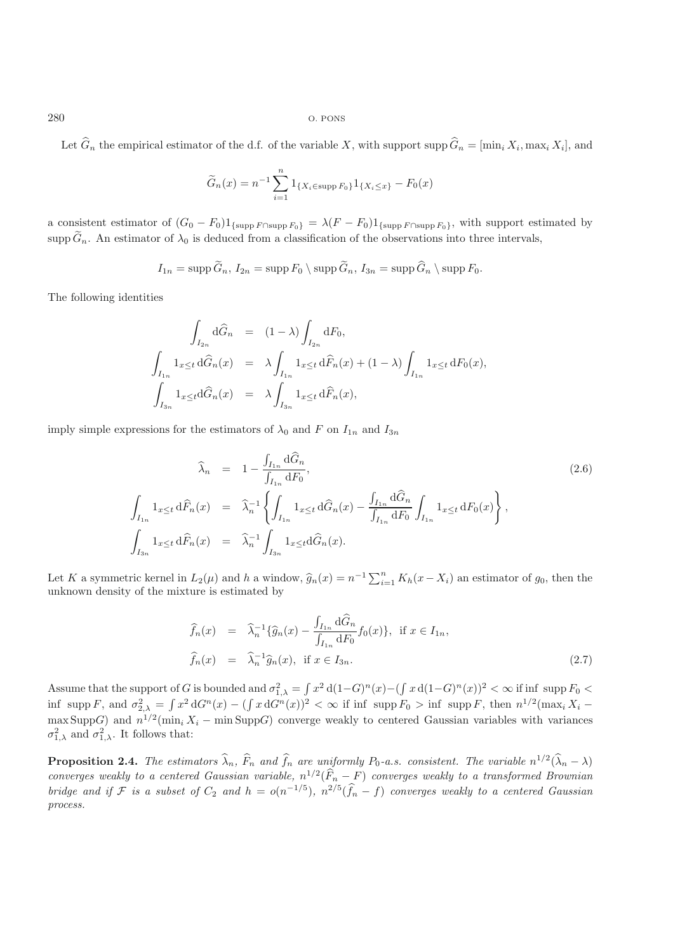280 O. PONS

Let  $\widehat{G}_n$  the empirical estimator of the d.f. of the variable X, with support supp  $\widehat{G}_n = [\min_i X_i, \max_i X_i]$ , and

$$
\widetilde{G}_n(x) = n^{-1} \sum_{i=1}^n 1_{\{X_i \in \text{supp } F_0\}} 1_{\{X_i \le x\}} - F_0(x)
$$

a consistent estimator of  $(G_0 - F_0)1_{\{\text{supp }F_0\}} = \lambda (F - F_0)1_{\{\text{supp }F_0\}}$ , with support estimated by supp  $\tilde{G}_n$ . An estimator of  $\lambda_0$  is deduced from a classification of the observations into three intervals,

$$
I_{1n} = \operatorname{supp} \widetilde{G}_n, I_{2n} = \operatorname{supp} F_0 \setminus \operatorname{supp} \widetilde{G}_n, I_{3n} = \operatorname{supp} \widehat{G}_n \setminus \operatorname{supp} F_0.
$$

The following identities

$$
\int_{I_{2n}} d\hat{G}_n = (1 - \lambda) \int_{I_{2n}} dF_0,
$$
\n
$$
\int_{I_{1n}} 1_{x \le t} d\hat{G}_n(x) = \lambda \int_{I_{1n}} 1_{x \le t} d\hat{F}_n(x) + (1 - \lambda) \int_{I_{1n}} 1_{x \le t} dF_0(x),
$$
\n
$$
\int_{I_{3n}} 1_{x \le t} d\hat{G}_n(x) = \lambda \int_{I_{3n}} 1_{x \le t} d\hat{F}_n(x),
$$

imply simple expressions for the estimators of  $\lambda_0$  and F on  $I_{1n}$  and  $I_{3n}$ 

<span id="page-4-0"></span>
$$
\widehat{\lambda}_n = 1 - \frac{\int_{I_{1n}} d\widehat{G}_n}{\int_{I_{1n}} dF_0},
$$
\n
$$
\int_{I_{1n}} 1_{x \le t} d\widehat{F}_n(x) = \widehat{\lambda}_n^{-1} \left\{ \int_{I_{1n}} 1_{x \le t} d\widehat{G}_n(x) - \frac{\int_{I_{1n}} d\widehat{G}_n}{\int_{I_{1n}} dF_0} \int_{I_{1n}} 1_{x \le t} dF_0(x) \right\},
$$
\n
$$
\int_{I_{3n}} 1_{x \le t} d\widehat{F}_n(x) = \widehat{\lambda}_n^{-1} \int_{I_{3n}} 1_{x \le t} d\widehat{G}_n(x).
$$
\n(2.6)

Let K a symmetric kernel in  $L_2(\mu)$  and h a window,  $\hat{g}_n(x) = n^{-1} \sum_{i=1}^n K_h(x - X_i)$  an estimator of  $g_0$ , then the unknown density of the mixture is estimated by

$$
\widehat{f}_n(x) = \widehat{\lambda}_n^{-1} \{ \widehat{g}_n(x) - \frac{\int_{I_{1n}} d\widehat{G}_n}{\int_{I_{1n}} dF_0} f_0(x) \}, \text{ if } x \in I_{1n},
$$
\n
$$
\widehat{f}_n(x) = \widehat{\lambda}_n^{-1} \widehat{g}_n(x), \text{ if } x \in I_{3n}.
$$
\n(2.7)

<span id="page-4-1"></span>Assume that the support of G is bounded and  $\sigma_{1,\lambda}^2 = \int x^2 d(1-G)^n(x) - (\int x d(1-G)^n(x))^2 < \infty$  if inf supp  $F_0$ inf supp F, and  $\sigma_{2,\lambda}^2 = \int x^2 dG^n(x) - (\int x dG^n(x))^2 < \infty$  if inf supp  $F_0 > \inf$  supp F, then  $n^{1/2}(\max_i X_i$ max SuppG) and  $n^{1/2}(\min_i X_i - \min \text{Supp}G)$  converge weakly to centered Gaussian variables with variances  $\sigma_{1,\lambda}^2$  and  $\sigma_{1,\lambda}^2$ . It follows that:

**Proposition 2.4.** *The estimators*  $\hat{\lambda}_n$ ,  $\hat{F}_n$  *and*  $\hat{f}_n$  *are uniformly*  $P_0$ *-a.s. consistent. The variable*  $n^{1/2}(\hat{\lambda}_n - \lambda)$ *converges weakly to a centered Gaussian variable,*  $n^{1/2}(\widehat{F}_n - F)$  *converges weakly to a transformed Brownian bridge and if*  $\mathcal F$  *is a subset of*  $C_2$  *and*  $h = o(n^{-1/5})$ *,*  $n^{2/5}(\hat{f}_n - f)$  *converges weakly to a centered Gaussian process.*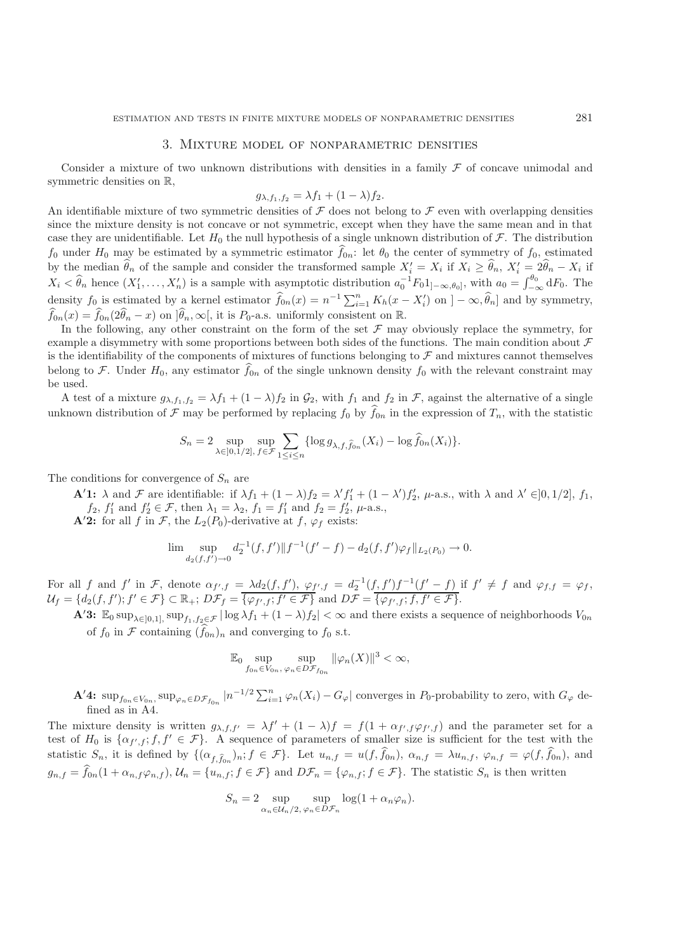#### 3. Mixture model of nonparametric densities

Consider a mixture of two unknown distributions with densities in a family  $\mathcal F$  of concave unimodal and symmetric densities on R,

$$
g_{\lambda,f_1,f_2} = \lambda f_1 + (1-\lambda)f_2.
$$

An identifiable mixture of two symmetric densities of  $\mathcal F$  does not belong to  $\mathcal F$  even with overlapping densities since the mixture density is not concave or not symmetric, except when they have the same mean and in that case they are unidentifiable. Let  $H_0$  the null hypothesis of a single unknown distribution of  $\mathcal F$ . The distribution  $f_0$  under  $H_0$  may be estimated by a symmetric estimator  $f_{0n}$ : let  $\theta_0$  the center of symmetry of  $f_0$ , estimated by the median  $\hat{\theta}_n$  of the sample and consider the transformed sample  $X'_i = X_i$  if  $X_i \ge \hat{\theta}_n$ ,  $X'_i = 2\hat{\theta}_n - X_i$  if  $X_i < \hat{\theta}_n$  hence  $(X'_1, \ldots, X'_n)$  is a sample with asymptotic distribution  $a_0^{-1} F_0 1_{]-\infty,\theta_0}$ , with  $a_0 = \int_{-\infty}^{\theta_0} dF_0$ . The density  $f_0$  is estimated by a kernel estimator  $\hat{f}_{0n}(x) = n^{-1} \sum_{i=1}^n K_h(x - X_i)$  on  $]-\infty, \hat{\theta}_n]$  and by symmetry,  $\widehat{f}_{0n}(x) = \widehat{f}_{0n}(2\widehat{\theta}_n - x)$  on  $]\widehat{\theta}_n, \infty[$ , it is  $P_0$ -a.s. uniformly consistent on  $\mathbb{R}$ .

In the following, any other constraint on the form of the set  $\mathcal F$  may obviously replace the symmetry, for example a disymmetry with some proportions between both sides of the functions. The main condition about  $\mathcal F$ is the identifiability of the components of mixtures of functions belonging to  $\mathcal F$  and mixtures cannot themselves belong to F. Under  $H_0$ , any estimator  $f_{0n}$  of the single unknown density  $f_0$  with the relevant constraint may be used.

A test of a mixture  $g_{\lambda,f_1,f_2} = \lambda f_1 + (1-\lambda)f_2$  in  $\mathcal{G}_2$ , with  $f_1$  and  $f_2$  in  $\mathcal{F}$ , against the alternative of a single unknown distribution of  $\mathcal F$  may be performed by replacing  $f_0$  by  $f_{0n}$  in the expression of  $T_n$ , with the statistic

$$
S_n = 2 \sup_{\lambda \in ]0,1/2], \ f \in \mathcal{F}} \sum_{1 \leq i \leq n} {\log g_{\lambda,f,\widehat{f}_{0n}}(X_i) - \log \widehat{f}_{0n}(X_i)}.
$$

The conditions for convergence of  $S_n$  are

**A**'1:  $\lambda$  and F are identifiable: if  $\lambda f_1 + (1 - \lambda)f_2 = \lambda' f_1' + (1 - \lambda') f_2', \mu$ -a.s., with  $\lambda$  and  $\lambda' \in ]0, 1/2], f_1, f_2, f_3$  $f_2, f'_1 \text{ and } f'_2 \in \mathcal{F}$ , then  $\lambda_1 = \lambda_2$ ,  $f_1 = f'_1$  and  $f_2 = f'_2$ ,  $\mu$ -a.s., **A'2:** for all f in F, the  $L_2(P_0)$ -derivative at f,  $\varphi_f$  exists:

$$
\lim \sup_{d_2(f,f') \to 0} d_2^{-1}(f,f') \| f^{-1}(f'-f) - d_2(f,f') \varphi_f \|_{L_2(P_0)} \to 0.
$$

For all f and f' in F, denote  $\alpha_{f',f} = \lambda d_2(f,f')$ ,  $\varphi_{f',f} = d_2^{-1}(f,f')f^{-1}(f'-f)$  if  $f' \neq f$  and  $\varphi_{f,f} = \varphi_f$ ,  $\mathcal{U}_f = \{d_2(f, f'); f' \in \mathcal{F}\}\subset \mathbb{R}_+$ ;  $D\mathcal{F}_f = \overline{\{\varphi_{f',f}; f' \in \mathcal{F}\}}$  and  $D\mathcal{F} = \overline{\{\varphi_{f',f}; f, f' \in \mathcal{F}\}}$ .

**A**'3:  $\mathbb{E}_0 \sup_{\lambda \in [0,1]} \sup_{f_1, f_2 \in \mathcal{F}} |\log \lambda f_1 + (1 - \lambda)f_2| < \infty$  and there exists a sequence of neighborhoods  $V_{0n}$ of  $f_0$  in  $\mathcal F$  containing  $(f_{0n})_n$  and converging to  $f_0$  s.t.

$$
\mathbb{E}_0 \sup_{f_{0n} \in V_{0n}} \sup_{\varphi_n \in D\mathcal{F}_{f_{0n}}} \|\varphi_n(X)\|^3 < \infty,
$$

 $\mathbf{A}'$ **4:**  $\sup_{f_{0n} \in V_{0n}} \sup_{\varphi_n \in D\mathcal{F}_{f_{0n}}} |n^{-1/2} \sum_{i=1}^n \varphi_n(X_i) - G_{\varphi}|$  converges in  $P_0$ -probability to zero, with  $G_{\varphi}$  defined as in A4.

The mixture density is written  $g_{\lambda,f,f'} = \lambda f' + (1-\lambda)f = f(1 + \alpha_{f',f}\varphi_{f',f})$  and the parameter set for a test of  $H_0$  is  $\{\alpha_{f',f};f,f'\in\mathcal{F}\}\$ . A sequence of parameters of smaller size is sufficient for the test with the statistic  $S_n$ , it is defined by  $\{(\alpha_{f,\hat{f}_{0n}})_n; f \in \mathcal{F}\}\$ . Let  $u_{n,f} = u(f, f_{0n})$ ,  $\alpha_{n,f} = \lambda u_{n,f}$ ,  $\varphi_{n,f} = \varphi(f, f_{0n})$ , and  $g_{n,f} = f_{0n}(1 + \alpha_{n,f}\varphi_{n,f}), \mathcal{U}_n = \{u_{n,f}; f \in \mathcal{F}\}\$ and  $D\mathcal{F}_n = \{\varphi_{n,f}; f \in \mathcal{F}\}\$ . The statistic  $S_n$  is then written

$$
S_n = 2 \sup_{\alpha_n \in \mathcal{U}_n/2, \, \varphi_n \in D\mathcal{F}_n} \log(1 + \alpha_n \varphi_n).
$$